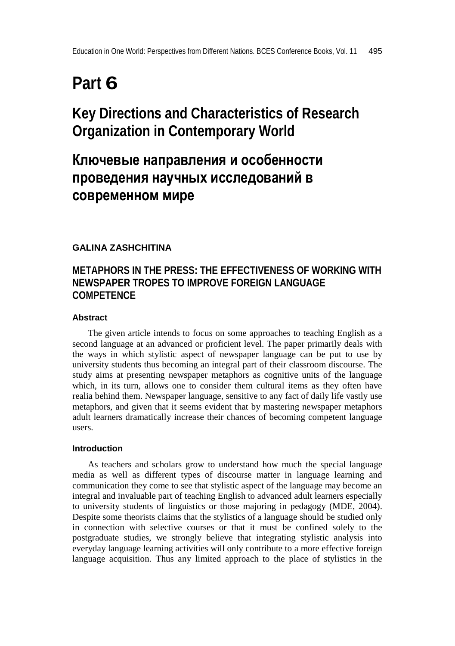# **Part 6**

## **Key Directions and Characteristics of Research Organization in Contemporary World**

## **Ключевые направления и особенности проведения научных исследований в современном мире**

## **GALINA ZASHCHITINA**

## **METAPHORS IN THE PRESS: THE EFFECTIVENESS OF WORKING WITH NEWSPAPER TROPES TO IMPROVE FOREIGN LANGUAGE COMPETENCE**

### **Abstract**

The given article intends to focus on some approaches to teaching English as a second language at an advanced or proficient level. The paper primarily deals with the ways in which stylistic aspect of newspaper language can be put to use by university students thus becoming an integral part of their classroom discourse. The study aims at presenting newspaper metaphors as cognitive units of the language which, in its turn, allows one to consider them cultural items as they often have realia behind them. Newspaper language, sensitive to any fact of daily life vastly use metaphors, and given that it seems evident that by mastering newspaper metaphors adult learners dramatically increase their chances of becoming competent language users.

### **Introduction**

As teachers and scholars grow to understand how much the special language media as well as different types of discourse matter in language learning and communication they come to see that stylistic aspect of the language may become an integral and invaluable part of teaching English to advanced adult learners especially to university students of linguistics or those majoring in pedagogy (MDE, 2004). Despite some theorists claims that the stylistics of a language should be studied only in connection with selective courses or that it must be confined solely to the postgraduate studies, we strongly believe that integrating stylistic analysis into everyday language learning activities will only contribute to a more effective foreign language acquisition. Thus any limited approach to the place of stylistics in the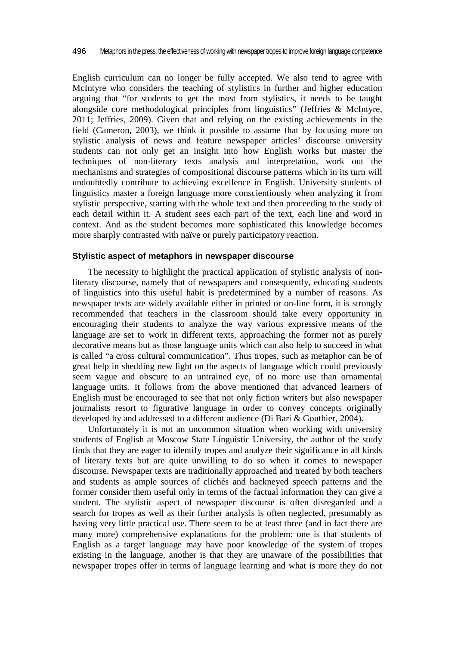English curriculum can no longer be fully accepted. We also tend to agree with McIntyre who considers the teaching of stylistics in further and higher education arguing that "for students to get the most from stylistics, it needs to be taught alongside core methodological principles from linguistics" (Jeffries & McIntyre, 2011; Jeffries, 2009). Given that and relying on the existing achievements in the field (Cameron, 2003), we think it possible to assume that by focusing more on stylistic analysis of news and feature newspaper articles' discourse university students can not only get an insight into how English works but master the techniques of non-literary texts analysis and interpretation, work out the mechanisms and strategies of compositional discourse patterns which in its turn will undoubtedly contribute to achieving excellence in English. University students of linguistics master a foreign language more conscientiously when analyzing it from stylistic perspective, starting with the whole text and then proceeding to the study of each detail within it. A student sees each part of the text, each line and word in context. And as the student becomes more sophisticated this knowledge becomes more sharply contrasted with naïve or purely participatory reaction.

#### **Stylistic aspect of metaphors in newspaper discourse**

The necessity to highlight the practical application of stylistic analysis of nonliterary discourse, namely that of newspapers and consequently, educating students of linguistics into this useful habit is predetermined by a number of reasons. As newspaper texts are widely available either in printed or on-line form, it is strongly recommended that teachers in the classroom should take every opportunity in encouraging their students to analyze the way various expressive means of the language are set to work in different texts, approaching the former not as purely decorative means but as those language units which can also help to succeed in what is called "a cross cultural communication". Thus tropes, such as metaphor can be of great help in shedding new light on the aspects of language which could previously seem vague and obscure to an untrained eye, of no more use than ornamental language units. It follows from the above mentioned that advanced learners of English must be encouraged to see that not only fiction writers but also newspaper journalists resort to figurative language in order to convey concepts originally developed by and addressed to a different audience (Di Bari & Gouthier, 2004).

Unfortunately it is not an uncommon situation when working with university students of English at Moscow State Linguistic University, the author of the study finds that they are eager to identify tropes and analyze their significance in all kinds of literary texts but are quite unwilling to do so when it comes to newspaper discourse. Newspaper texts are traditionally approached and treated by both teachers and students as ample sources of clichés and hackneyed speech patterns and the former consider them useful only in terms of the factual information they can give a student. The stylistic aspect of newspaper discourse is often disregarded and a search for tropes as well as their further analysis is often neglected, presumably as having very little practical use. There seem to be at least three (and in fact there are many more) comprehensive explanations for the problem: one is that students of English as a target language may have poor knowledge of the system of tropes existing in the language, another is that they are unaware of the possibilities that newspaper tropes offer in terms of language learning and what is more they do not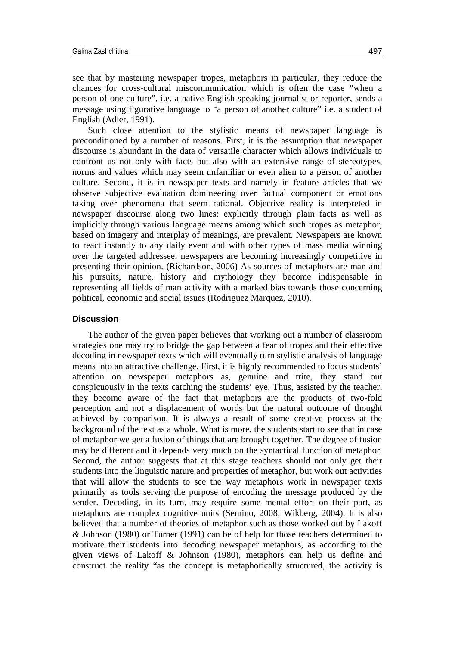see that by mastering newspaper tropes, metaphors in particular, they reduce the chances for cross-cultural miscommunication which is often the case "when a person of one culture", i.e. a native English-speaking journalist or reporter, sends a message using figurative language to "a person of another culture" i.e. a student of English (Adler, 1991).

Such close attention to the stylistic means of newspaper language is preconditioned by a number of reasons. First, it is the assumption that newspaper discourse is abundant in the data of versatile character which allows individuals to confront us not only with facts but also with an extensive range of stereotypes, norms and values which may seem unfamiliar or even alien to a person of another culture. Second, it is in newspaper texts and namely in feature articles that we observe subjective evaluation domineering over factual component or emotions taking over phenomena that seem rational. Objective reality is interpreted in newspaper discourse along two lines: explicitly through plain facts as well as implicitly through various language means among which such tropes as metaphor, based on imagery and interplay of meanings, are prevalent. Newspapers are known to react instantly to any daily event and with other types of mass media winning over the targeted addressee, newspapers are becoming increasingly competitive in presenting their opinion. (Richardson, 2006) As sources of metaphors are man and his pursuits, nature, history and mythology they become indispensable in representing all fields of man activity with a marked bias towards those concerning political, economic and social issues (Rodriguez Marquez, 2010).

#### **Discussion**

The author of the given paper believes that working out a number of classroom strategies one may try to bridge the gap between a fear of tropes and their effective decoding in newspaper texts which will eventually turn stylistic analysis of language means into an attractive challenge. First, it is highly recommended to focus students' attention on newspaper metaphors as, genuine and trite, they stand out conspicuously in the texts catching the students' eye. Thus, assisted by the teacher, they become aware of the fact that metaphors are the products of two-fold perception and not a displacement of words but the natural outcome of thought achieved by comparison. It is always a result of some creative process at the background of the text as a whole. What is more, the students start to see that in case of metaphor we get a fusion of things that are brought together. The degree of fusion may be different and it depends very much on the syntactical function of metaphor. Second, the author suggests that at this stage teachers should not only get their students into the linguistic nature and properties of metaphor, but work out activities that will allow the students to see the way metaphors work in newspaper texts primarily as tools serving the purpose of encoding the message produced by the sender. Decoding, in its turn, may require some mental effort on their part, as metaphors are complex cognitive units (Semino, 2008; Wikberg, 2004). It is also believed that a number of theories of metaphor such as those worked out by Lakoff & Johnson (1980) or Turner (1991) can be of help for those teachers determined to motivate their students into decoding newspaper metaphors, as according to the given views of Lakoff & Johnson (1980), metaphors can help us define and construct the reality "as the concept is metaphorically structured, the activity is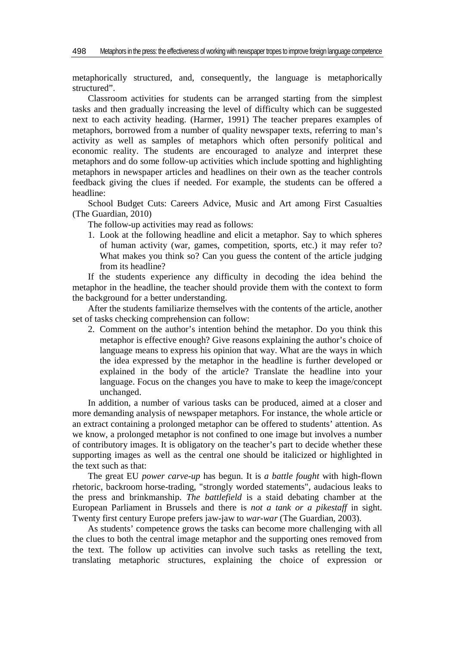metaphorically structured, and, consequently, the language is metaphorically structured".

Classroom activities for students can be arranged starting from the simplest tasks and then gradually increasing the level of difficulty which can be suggested next to each activity heading. (Harmer, 1991) The teacher prepares examples of metaphors, borrowed from a number of quality newspaper texts, referring to man's activity as well as samples of metaphors which often personify political and economic reality. The students are encouraged to analyze and interpret these metaphors and do some follow-up activities which include spotting and highlighting metaphors in newspaper articles and headlines on their own as the teacher controls feedback giving the clues if needed. For example, the students can be offered a headline:

School Budget Cuts: Careers Advice, Music and Art among First Casualties (The Guardian, 2010)

The follow-up activities may read as follows:

1. Look at the following headline and elicit a metaphor. Say to which spheres of human activity (war, games, competition, sports, etc.) it may refer to? What makes you think so? Can you guess the content of the article judging from its headline?

If the students experience any difficulty in decoding the idea behind the metaphor in the headline, the teacher should provide them with the context to form the background for a better understanding.

After the students familiarize themselves with the contents of the article, another set of tasks checking comprehension can follow:

2. Comment on the author's intention behind the metaphor. Do you think this metaphor is effective enough? Give reasons explaining the author's choice of language means to express his opinion that way. What are the ways in which the idea expressed by the metaphor in the headline is further developed or explained in the body of the article? Translate the headline into your language. Focus on the changes you have to make to keep the image/concept unchanged.

In addition, a number of various tasks can be produced, aimed at a closer and more demanding analysis of newspaper metaphors. For instance, the whole article or an extract containing a prolonged metaphor can be offered to students' attention. As we know, a prolonged metaphor is not confined to one image but involves a number of contributory images. It is obligatory on the teacher's part to decide whether these supporting images as well as the central one should be italicized or highlighted in the text such as that:

The great EU *power carve-up* has begun. It is *a battle fought* with high-flown rhetoric, backroom horse-trading, "strongly worded statements", audacious leaks to the press and brinkmanship. *The battlefield* is a staid debating chamber at the European Parliament in Brussels and there is *not a tank or a pikestaff* in sight. Twenty first century Europe prefers jaw-jaw to *war-war* (The Guardian, 2003).

As students' competence grows the tasks can become more challenging with all the clues to both the central image metaphor and the supporting ones removed from the text. The follow up activities can involve such tasks as retelling the text, translating metaphoric structures, explaining the choice of expression or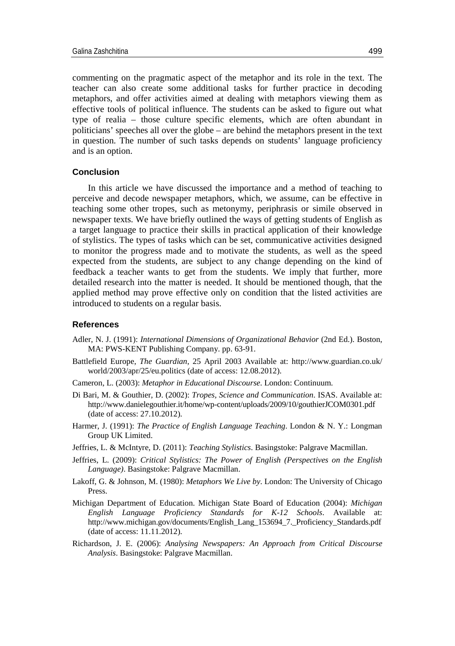commenting on the pragmatic aspect of the metaphor and its role in the text. The teacher can also create some additional tasks for further practice in decoding metaphors, and offer activities aimed at dealing with metaphors viewing them as effective tools of political influence. The students can be asked to figure out what type of realia – those culture specific elements, which are often abundant in politicians' speeches all over the globe – are behind the metaphors present in the text in question. The number of such tasks depends on students' language proficiency and is an option.

#### **Conclusion**

In this article we have discussed the importance and a method of teaching to perceive and decode newspaper metaphors, which, we assume, can be effective in teaching some other tropes, such as metonymy, periphrasis or simile observed in newspaper texts. We have briefly outlined the ways of getting students of English as a target language to practice their skills in practical application of their knowledge of stylistics. The types of tasks which can be set, communicative activities designed to monitor the progress made and to motivate the students, as well as the speed expected from the students, are subject to any change depending on the kind of feedback a teacher wants to get from the students. We imply that further, more detailed research into the matter is needed. It should be mentioned though, that the applied method may prove effective only on condition that the listed activities are introduced to students on a regular basis.

#### **References**

- Adler, N. J. (1991): *International Dimensions of Organizational Behavior* (2nd Ed.). Boston, MA: PWS-KENT Publishing Company. pp. 63-91.
- Battlefield Europe, *The Guardian*, 25 April 2003 Available at: [http://www.guardian.co.uk/](http://www.guardian.co.uk/world/2003/apr/25/eu.politics) [world/2003/apr/25/eu.politics](http://www.guardian.co.uk/world/2003/apr/25/eu.politics) (date of access: 12.08.2012).
- Cameron, L. (2003): *Metaphor in Educational Discourse*. London: Continuum.
- Di Bari, M. & Gouthier, D. (2002): *Tropes, Science and Communication*. ISAS. Available at: http://www.danielegouthier.it/home/wp-content/uploads/2009/10/gouthierJCOM0301.pdf (date of access: 27.10.2012).
- Harmer, J. (1991): *The Practice of English Language Teaching*. London & N. Y.: Longman Group UK Limited.
- Jeffries, L. & McIntyre, D. (2011): *Teaching Stylistics*. Basingstoke: Palgrave Macmillan.
- Jeffries, L. (2009): *Critical Stylistics: The Power of English (Perspectives on the English Language)*. Basingstoke: Palgrave Macmillan.
- Lakoff, G. & Johnson, M. (1980): *Metaphors We Live by*. London: The University of Chicago Press.
- Michigan Department of Education. Michigan State Board of Education (2004): *Michigan English Language Proficiency Standards for K-12 Schools*. Available at: [http://www.michigan.gov/documents/English\\_Lang\\_153694\\_7.\\_Proficiency\\_Standards.pdf](http://www.michigan.gov/documents/English_Lang_153694_7._Proficiency_Standards.pdf) (date of access: 11.11.2012).
- Richardson, J. E. (2006): *Analysing Newspapers: An Approach from Critical Discourse Analysis*. Basingstoke: Palgrave Macmillan.